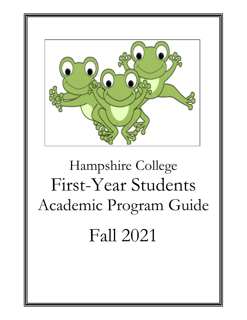

# Hampshire College First-Year Students Academic Program Guide Fall 2021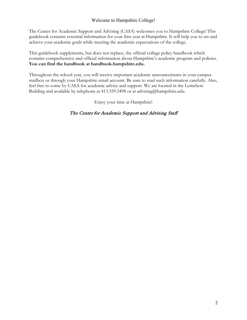# Welcome to Hampshire College!

The Center for Academic Support and Advising (CASA) welcomes you to Hampshire College! This guidebook contains essential information for your first year at Hampshire. It will help you to set and achieve your academic goals while meeting the academic expectations of the college.

This guidebook supplements, but does not replace, the official college policy handbook which contains comprehensive and official information about Hampshire's academic program and policies. **You can find the handbook at handbook.hampshire.edu.** 

Throughout the school year, you will receive important academic announcements in your campus mailbox or through your Hampshire email account. Be sure to read such information carefully. Also, feel free to come by CASA for academic advice and support. We are located in the Lemelson Building and available by telephone at 413.559.5498 or at advising@hampshire.edu.

Enjoy your time at Hampshire!

# The Center for Academic Support and Advising Staff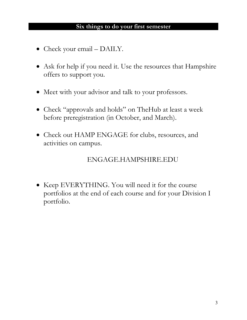# **Six things to do your first semester**

- Check your email DAILY.
- Ask for help if you need it. Use the resources that Hampshire offers to support you.
- Meet with your advisor and talk to your professors.
- Check "approvals and holds" on TheHub at least a week before preregistration (in October, and March).
- Check out HAMP ENGAGE for clubs, resources, and activities on campus.

# ENGAGE.HAMPSHIRE.EDU

• Keep EVERYTHING. You will need it for the course portfolios at the end of each course and for your Division I portfolio.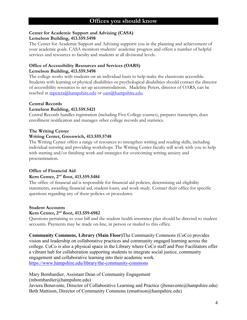#### **Center for Academic Support and Advising (CASA) Lemelson Building, 413.559.5498**

The Center for Academic Support and Advising supports you in the planning and achievement of your academic goals. CASA monitors students' academic progress and offers a number of helpful services and resources to faculty and students at all divisional levels.

#### **Office of Accessibility Resources and Services (OARS) Lemelson Building, 413.559.5498**

The college works with students on an individual basis to help make the classroom accessible. Students with learning or physical disabilities or psychological disabilities should contact the director of accessibility resources to set up accommodations. Madeline Peters, director of OARS, can be reached at [mpeters@hampshire.edu](mailto:mpeters@hampshire.edu) or [oars@hampshire.edu.](mailto:oars@hampshire.edu)

# **Central Records**

#### **Lemelson Building, 413.559.5421**

Central Records handles registration (including Five College courses), prepares transcripts, does enrollment notification and manages other college records and statistics.

# **The Writing Center**

#### **Writing Center, Greenwich, 413.559.5748**

The Writing Center offers a range of resources to strengthen writing and reading skills, including individual tutoring and providing workshops. The Writing Center faculty will work with you to help with starting and/or finishing work and strategies for overcoming writing anxiety and procrastination.

# **Office of Financial Aid**

# **Kern Center, 2nd floor, 413.559.5484**

The office of financial aid is responsible for financial aid policies, determining aid eligibility statements, awarding financial aid, student loans, and work study. Contact their office for specific questions regarding any of these policies or procedures.

#### **Student Accounts**

# **Kern Center, 2nd floor, 413.559-6982**

Questions pertaining to your bill and the student health insurance plan should be directed to student accounts. Payments may be made on-line, in person or mailed to this office.

**Community Commons, Library (Main Floor)**The Community Commons (CoCo) provides vision and leadership on collaborative practices and community engaged learning across the college. CoCo is also a physical space in the Library where CoCo staff and Peer Facilitators offer a vibrant hub for collaboration supporting students to integrate social justice, community engagement and collaborative learning into their academic work. <https://www.hampshire.edu/library/the-community-commons>

Mary Bombardier, Assistant Dean of Community Engagement (mbombardier@hampshire.edu)

Javiera Benavente, Director of Collaborative Learning and Practice (jbenavente@hampshire.edu) Beth Mattison, Director of Community Commons (emattison@hampshire.edu)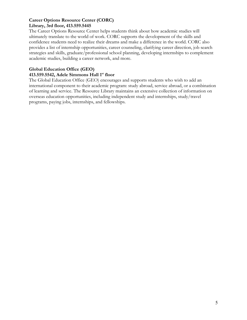# **Career Options Resource Center (CORC) Library, 3rd floor, 413.559.5445**

The Career Options Resource Center helps students think about how academic studies will ultimately translate to the world of work. CORC supports the development of the skills and confidence students need to realize their dreams and make a difference in the world. CORC also provides a list of internship opportunities, career counseling, clarifying career direction, job search strategies and skills, graduate/professional school planning, developing internships to complement academic studies, building a career network, and more.

# **Global Education Office (GEO)**

# **413.559.5542, Adele Simmons Hall 1st floor**

The Global Education Office (GEO) encourages and supports students who wish to add an international component to their academic program: study abroad, service abroad, or a combination of learning and service. The Resource Library maintains an extensive collection of information on overseas education opportunities, including independent study and internships, study/travel programs, paying jobs, internships, and fellowships.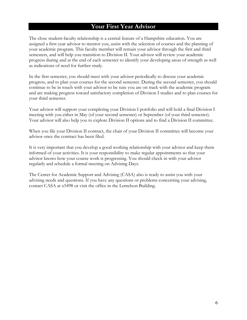# **Your First Year Advisor**

The close student-faculty relationship is a central feature of a Hampshire education. You are assigned a first-year advisor to mentor you, assist with the selection of courses and the planning of your academic program. This faculty member will remain your advisor through the first and third semesters, and will help you transition to Division II. Your advisor will review your academic progress during and at the end of each semester to identify your developing areas of strength as well as indications of need for further study.

In the first semester, you should meet with your advisor periodically to discuss your academic progress, and to plan your courses for the second semester. During the second semester, you should continue to be in touch with your advisor to be sure you are on track with the academic program and are making progress toward satisfactory completion of Division I studies and to plan courses for your third semester.

Your advisor will support your completing your Division I portfolio and will hold a final Division I meeting with you either in May (of your second semester) or September (of your third semester). Your advisor will also help you to explore Division II options and to find a Division II committee.

When you file your Division II contract, the chair of your Division II committee will become your advisor once the contract has been filed.

It is very important that you develop a good working relationship with your advisor and keep them informed of your activities. It is your responsibility to make regular appointments so that your advisor knows how your course work is progressing. You should check in with your advisor regularly and schedule a formal meeting on Advising Days.

The Center for Academic Support and Advising (CASA) also is ready to assist you with your advising needs and questions. If you have any questions or problems concerning your advising, contact CASA at x5498 or visit the office in the Lemelson Building.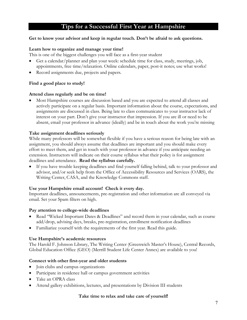# **Tips for a Successful First Year at Hampshire**

#### **Get to know your advisor and keep in regular touch. Don't be afraid to ask questions.**

#### **Learn how to organize and manage your time!**

This is one of the biggest challenges you will face as a first-year student

- Get a calendar/planner and plan your week: schedule time for class, study, meetings, job, appointments, free time/relaxation. Online calendars, paper, post-it notes; use what works!
- Record assignments due, projects and papers.

#### **Find a good place to study!**

#### **Attend class regularly and be on time!**

• Most Hampshire courses are discussion based and you are expected to attend all classes and actively participate on a regular basis. Important information about the course, expectations, and assignments are discussed in class. Being late to class communicates to your instructor lack of interest on your part. Don't give your instructor that impression. If you are ill or need to be absent, email your professor in advance (ideally) and be in touch about the work you're missing

#### **Take assignment deadlines seriously**

While many professors will be somewhat flexible if you have a serious reason for being late with an assignment, you should always assume that deadlines are important and you should make every effort to meet them, and get in touch with your professor in advance if you anticipate needing an extension. Instructors will indicate on their course syllabus what their policy is for assignment deadlines and attendance. **Read the syllabus carefully.**

If you have trouble keeping deadlines and find yourself falling behind, talk to your professor and advisor, and/or seek help from the Office of Accessibility Resources and Services (OARS), the Writing Center, CASA, and the Knowledge Commons staff.

#### **Use your Hampshire email account! Check it every day.**

Important deadlines, announcements, pre-registration and other information are all conveyed via email. Set your Spam filters on high.

#### **Pay attention to college-wide deadlines**

- Read "Wicked Important Dates & Deadlines" and record them in your calendar, such as course add/drop, advising days, breaks, pre-registration, enrollment notification deadlines
- Familiarize yourself with the requirements of the first year. Read this guide.

#### **Use Hampshire's academic resources**

The Harold F. Johnson Library, The Writing Center (Greenwich Master's House), Central Records, Global Education Office (GEO) (Merrill Student Life Center Annex) are available to you!

#### **Connect with other first-year and older students**

- Join clubs and campus organizations
- Participate in residence hall or campus government activities
- Take an OPRA class
- Attend gallery exhibitions, lectures, and presentations by Division III students

#### **Take time to relax and take care of yourself!**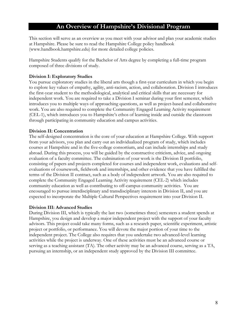# **An Overview of Hampshire's Divisional Program**

This section will serve as an overview as you meet with your advisor and plan your academic studies at Hampshire. Please be sure to read the Hampshire College policy handbook (www.handbook.hampshire.edu) for more detailed college policies.

Hampshire Students qualify for the Bachelor of Arts degree by completing a full-time program composed of three divisions of study.

#### **Division I: Exploratory Studies**

You pursue exploratory studies in the liberal arts though a first-year curriculum in which you begin to explore key values of empathy, agility, anti-racism, action, and collaboration. Division I introduces the first-year student to the methodological, analytical and critical skills that are necessary for independent work. You are required to take a Division I seminar during your first semester, which introduces you to multiple ways of approaching questions, as well as project-based and collaborative work. You are also required to complete the Community Engaged Learning Activity requirement (CEL-1), which introduces you to Hampshire's ethos of learning inside and outside the classroom through participating in community education and campus activities.

#### **Division II: Concentration**

The self-designed concentration is the core of your education at Hampshire College. With support from your advisors, you plan and carry out an individualized program of study, which includes courses at Hampshire and in the five-college consortium, and can include internships and study abroad. During this process, you will be guided by the constructive criticism, advice, and ongoing evaluation of a faculty committee. The culmination of your work is the Division II portfolio, consisting of papers and projects completed for courses and independent work, evaluations and selfevaluations of coursework, fieldwork and internships, and other evidence that you have fulfilled the terms of the Division II contract, such as a body of independent artwork. You are also required to complete the Community Engaged Learning Activity requirement (CEL-2) which includes community education as well as contributing to off-campus community activities. You are encouraged to pursue interdisciplinary and transdisciplinary interests in Division II, and you are expected to incorporate the Multiple Cultural Perspectives requirement into your Division II.

#### **Division III: Advanced Studies**

During Division III, which is typically the last two (sometimes three) semesters a student spends at Hampshire, you design and develop a major independent project with the support of your faculty advisors. This project could take many forms, such as a research paper, scientific experiment, artistic project or portfolio, or performance. You will devote the major portion of your time to the independent project. The College also requires that you undertake two advanced-level learning activities while the project is underway. One of these activities must be an advanced course or serving as a teaching assistant (TA). The other activity may be an advanced course, serving as a TA, pursuing an internship, or an independent study approved by the Division III committee.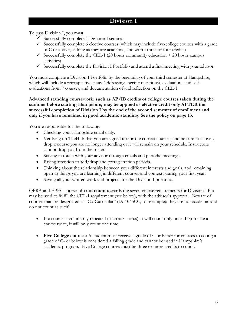# **Division I**

To pass Division I, you must

- $\checkmark$  Successfully complete 1 Division I seminar
- $\checkmark$  Successfully complete 6 elective courses (which may include five-college courses with a grade of C or above, as long as they are academic, and worth three or four credits)
- $\checkmark$  Successfully complete the CEL-1 (20 hours community education + 20 hours campus activities)
- $\checkmark$  Successfully complete the Division I Portfolio and attend a final meeting with your advisor

You must complete a Division I Portfolio by the beginning of your third semester at Hampshire, which will include a retrospective essay (addressing specific questions), evaluations and selfevaluations from 7 courses, and documentation of and reflection on the CEL-1.

**Advanced standing coursework, such as AP/IB credits or college courses taken during the summer before starting Hampshire, may be applied as elective credit only AFTER the successful completion of Division I by the end of the second semester of enrollment and only if you have remained in good academic standing. See the policy on page 13.**

You are responsible for the following:

- Checking your Hampshire email daily.
- Verifying on TheHub that you are signed up for the correct courses, and be sure to actively drop a course you are no longer attending or it will remain on your schedule. Instructors cannot drop you from the roster.
- Staying in touch with your advisor through emails and periodic meetings.
- Paying attention to add/drop and preregistration periods.
- Thinking about the relationship between your different interests and goals, and remaining open to things you are learning in different courses and contexts during your first year.
- Saving all your written work and projects for the Division I portfolio.

OPRA and EPEC courses **do not count** towards the seven course requirements for Division I but may be used to fulfill the CEL-1 requirement (see below), with the advisor's approval. Beware of courses that are designated as "Co-Curricular" (IA-1045CC, for example): they are not academic and do not count as such!

- If a course is voluntarily repeated (such as Chorus), it will count only once. If you take a course twice, it will only count one time.
- **Five College courses:** A student must receive a grade of C or better for courses to count; a grade of C- or below is considered a failing grade and cannot be used in Hampshire's academic program. Five College courses must be three or more credits to count.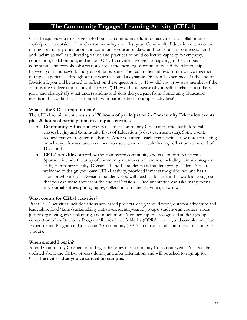# **The Community Engaged Learning Activity (CEL-1)**

CEL-1 requires you to engage in 40 hours of community education activities and collaborative work/projects outside of the classroom during your first year. Community Education events occur during community orientation and community education days, and focus on anti-oppression and anti-racism as well as cultivating values and practices to build collective capacity for empathy, connection, collaboration, and action. CEL-1 activities involve participating in the campus community and provoke observations about the meaning of community and the relationship between your coursework and your other pursuits. The requirement allows you to weave together multiple experiences throughout the year that build a dynamic Division I experience. At the end of Division I, you will be asked to reflect on these questions: (1) How did you grow as a member of the Hampshire College community this year? (2) How did your sense of yourself in relation to others grow and change? (3) What understanding and skills did you gain from Community Education events and how did that contribute to your participation in campus activities?

#### **What is the CEL-1 requirement?**

The CEL-1 requirement consists of **20 hours of participation in Community Education events plus 20 hours of participation in campus activities**.

- **Community Education** events occur at Community Orientation (the day before Fall classes begin) and Community Days of Education (3 days each semester). Some events request that you register in advance. After you attend each event, write a few notes reflecting on what you learned and save them to use toward your culminating reflection at the end of Division I.
- **CEL-1 activities** offered by the Hampshire community and take on different forms. Sponsors include the array of community members on campus, including campus program staff, Hampshire faculty, Division II and III students and student group leaders. You are welcome to design your own CEL-1 activity, provided it meets the guidelines and has a sponsor who is not a Division I student. You will need to document this work as you go so that you can write about it at the end of Division I. Documentation can take many forms, e.g. journal entries, photography, collection of materials, video, artwork.

#### **What counts for CEL-1 activities?**

Past CEL-1 activities include various arts-based projects, design/build work, outdoor adventure and leadership, food/farm/sustainability initiatives, identity-based groups, student-run courses, social justice organizing, event planning, and much more. Membership in a recognized [student group,](http://www.hampshire.edu/studentlife/1072.htm) completion of an Outdoors Program/Recreational Athletics [\(OPRA\)](http://www.hampshire.edu/opra/9319.htm) course, and completion of an Experimental Program in Education & Community [\(EPEC\)](http://www.hampshire.edu/studentlife/5897.htm) course can all count towards your CEL-1 hours.

#### **When should I begin?**

Attend Community Orientation to begin the series of Community Education events. You will be updated about the CEL-1 process during and after orientation, and will be asked to sign up for CEL-1 activities **after you've arrived on campus.**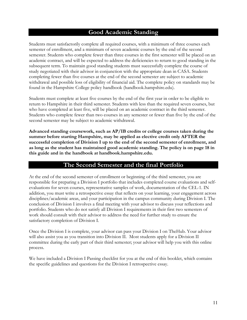# **Good Academic Standing**

Students must satisfactorily complete all required courses, with a minimum of three courses each semester of enrollment, and a minimum of seven academic courses by the end of the second semester. Students who complete fewer than three courses in the first semester will be placed on an academic contract, and will be expected to address the deficiencies to return to good standing in the subsequent term. To maintain good standing students must successfully complete the course of study negotiated with their advisor in conjunction with the appropriate dean in CASA. Students completing fewer than five courses at the end of the second semester are subject to academic withdrawal and possible loss of eligibility of financial aid. The complete policy on standards may be found in the Hampshire College policy handbook (handbook.hampshire.edu).

Students must complete at least five courses by the end of the first year in order to be eligible to return to Hampshire in their third semester. Students with less than the required seven courses, but who have completed at least five, will be placed on an academic contract in the third semester. Students who complete fewer than two courses in any semester or fewer than five by the end of the second semester may be subject to academic withdrawal.

**Advanced standing coursework, such as AP/IB credits or college courses taken during the summer before starting Hampshire, may be applied as elective credit only AFTER the successful completion of Division I up to the end of the second semester of enrollment, and as long as the student has maintained good academic standing. The policy is on page 18 in this guide and in the handbook at handbook.hampshire.edu.**

# **The Second Semester and the final Portfolio**

At the end of the second semester of enrollment or beginning of the third semester, you are responsible for preparing a Division I portfolio that includes completed course evaluations and selfevaluations for seven courses, representative samples of work, documentation of the CEL-1. IN addition, you must write a retrospective essay that reflects on your learning, your engagement across disciplines/academic areas, and your participation in the campus community during Division I. The conclusion of Division I involves a final meeting with your advisor to discuss your reflections and portfolio. Students who do not satisfy all Division I requirements in their first two semesters of work should consult with their advisor to address the need for further study to ensure the satisfactory completion of Division I.

Once the Division I is complete, your advisor can pass your Division I on TheHub. Your advisor will also assist you as you transition into Division II. Most students apply for a Division II committee during the early part of their third semester; your advisor will help you with this online process.

We have included a Division I Passing checklist for you at the end of this booklet, which contains the specific guidelines and questions for the Division I retrospective essay.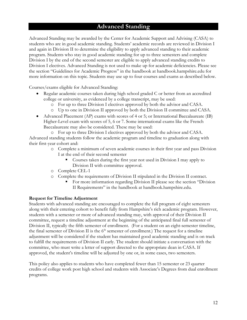# **Advanced Standing**

Advanced Standing may be awarded by the Center for Academic Support and Advising (CASA) to students who are in good academic standing. Students' academic records are reviewed in Division I and again in Division II to determine the eligibility to apply advanced standing to their academic program. Students who stay in good academic standing for up to three semesters and complete Division I by the end of the second semester are eligible to apply advanced standing credits to Division I electives. Advanced Standing is not used to make up for academic deficiencies. Please see the section "Guidelines for Academic Progress" in the handbook at handbook.hampshire.edu for more information on this topic. Students may use up to four courses and exams as described below.

Courses/exams eligible for Advanced Standing:

- Regular academic courses taken during high school graded C or better from an accredited college or university, as evidenced by a college transcript, may be used:
	- o For up to three Division I electives approved by both the advisor and CASA.
	- o Up to one in Division II approved by both the Division II committee and CASA.
- Advanced Placement (AP) exams with scores of 4 or 5; or International Baccalaureate (IB) Higher-Level exam with scores of 5, 6 or 7. Some international exams like the French Baccalaureate may also be considered. These may be used:

o For up to three Division I electives approved by both the advisor and CASA. Advanced standing students follow the academic program and timeline to graduation along with their first-year cohort and:

- o Complete a minimum of seven academic courses in their first year and pass Division I at the end of their second semester
	- Courses taken during the first year not used in Division I may apply to Division II with committee approval.
- o Complete CEL-1
- o Complete the requirements of Division II stipulated in the Division II contract.
	- For more information regarding Division II please see the section "Division II Requirements" in the handbook at handbook.hampshire.edu.

#### **Request for Timeline Adjustment**

Students with advanced standing are encouraged to complete the full program of eight semesters along with their entering cohort to benefit fully from Hampshire's rich academic program. However, students with a semester or more of advanced standing may, with approval of their Division II committee, request a timeline adjustment at the beginning of the anticipated final full semester of Division II, typically the fifth semester of enrollment. (For a student on an eight-semester timeline, the final semester of Division II is the  $6<sup>th</sup>$  semester of enrollment.) The request for a timeline adjustment will be considered if the student has maintained good academic standing and is on track to fulfill the requirements of Division II early. The student should initiate a conversation with the committee, who must write a letter of support directed to the appropriate dean in CASA. If approved, the student's timeline will be adjusted by one or, in some cases, two semesters.

This policy also applies to students who have completed fewer than 15 semester or 23 quarter credits of college work post high school and students with Associate's Degrees from dual enrollment programs.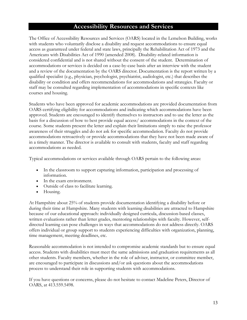# **Accessibility Resources and Services**

The Office of Accessibility Resources and Services (OARS) located in the Lemelson Building, works with students who voluntarily disclose a disability and request accommodations to ensure equal access as guaranteed under federal and state laws, principally the Rehabilitation Act of 1973 and the Americans with Disabilities Act of 1990 (amended 2008). Disability-related information is considered confidential and is not shared without the consent of the student. Determination of accommodations or services is decided on a case-by-case basis after an interview with the student and a review of the documentation by the OARS director. Documentation is the report written by a qualified specialist (e.g., physician, psychologist, psychiatrist, audiologist, etc.) that describes the disability or condition and offers recommendations for accommodations and strategies. Faculty or staff may be consulted regarding implementation of accommodations in specific contexts like courses and housing.

Students who have been approved for academic accommodations are provided documentation from OARS certifying eligibility for accommodations and indicating which accommodations have been approved. Students are encouraged to identify themselves to instructors and to use the letter as the basis for a discussion of how to best provide equal access/ accommodations in the context of the course. Some students present the letter and explain their limitations simply to raise the professor awareness of their struggles and do not ask for specific accommodation. Faculty do not provide accommodations retroactively or provide accommodations that they have not been made aware of in a timely manner. The director is available to consult with students, faculty and staff regarding accommodations as needed.

Typical accommodations or services available through OARS pertain to the following areas:

- In the classroom to support capturing information, participation and processing of information.
- In the exam environment.
- Outside of class to facilitate learning.
- Housing.

At Hampshire about 25% of students provide documentation identifying a disability before or during their time at Hampshire. Many students with learning disabilities are attracted to Hampshire because of our educational approach: individually designed curricula, discussion-based classes, written evaluations rather than letter grades, mentoring relationships with faculty. However, selfdirected learning can pose challenges in ways that accommodations do not address directly. OARS offers individual or group support to students experiencing difficulties with organization, planning, time management, meeting deadlines, etc.

Reasonable accommodation is not intended to compromise academic standards but to ensure equal access. Students with disabilities must meet the same admissions and graduation requirements as all other students. Faculty members, whether in the role of adviser, instructor, or committee member, are encouraged to participate in discussions and/or ask questions about the accommodations process to understand their role in supporting students with accommodations.

If you have questions or concerns, please do not hesitate to contact Madeline Peters, Director of OARS, at 413.559.5498.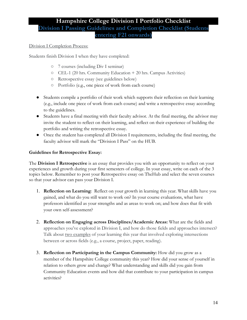# **Hampshire College Division I Portfolio Checklist Division I Passing Guidelines and Completion Checklist (Students entering F21 onwards)**

# Division I Completion Process:

Students finish Division I when they have completed:

- 7 courses (including Div I seminar)
- CEL-1 (20 hrs. Community Education + 20 hrs. Campus Activities)
- Retrospective essay (see guidelines below)
- Portfolio (e.g., one piece of work from each course)
- Students compile a portfolio of their work which supports their reflection on their learning (e.g., include one piece of work from each course) and write a retrospective essay according to the guidelines.
- Students have a final meeting with their faculty advisor. At the final meeting, the advisor may invite the student to reflect on their learning, and reflect on their experience of building the portfolio and writing the retrospective essay.
- Once the student has completed all Division I requirements, including the final meeting, the faculty advisor will mark the "Division I Pass" on the HUB.

# **Guidelines for Retrospective Essay:**

The **Division I Retrospective** is an essay that provides you with an opportunity to reflect on your experiences and growth during your first semesters of college. In your essay, write on each of the 3 topics below. Remember to post your Retrospective essay on TheHub and select the seven courses so that your advisor can pass your Division I.

- 1. **Reflection on Learning**: Reflect on your growth in learning this year. What skills have you gained, and what do you still want to work on? In your course evaluations, what have professors identified as your strengths and as areas to work on; and how does that fit with your own self-assessment?
- 2. **Reflection on Engaging across Disciplines/Academic Areas:** What are the fields and approaches you've explored in Division I, and how do those fields and approaches intersect? Talk about two examples of your learning this year that involved exploring intersections between or across fields (e.g., a course, project, paper, reading).
- 3. **Reflection on Participating in the Campus Community:** How did you grow as a member of the Hampshire College community this year? How did your sense of yourself in relation to others grow and change? What understanding and skills did you gain from Community Education events and how did that contribute to your participation in campus activities?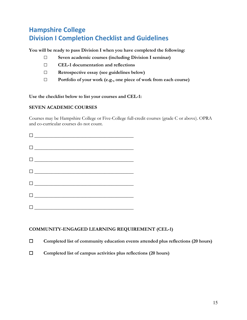# **Hampshire College Division I Completion Checklist and Guidelines**

**You will be ready to pass Division I when you have completed the following:**

- □ **Seven academic courses (including Division I seminar)**
- □ **CEL-1 documentation and reflections**
- □ **Retrospective essay (see guidelines below)**
- □ **Portfolio of your work (e.g., one piece of work from each course)**

**Use the checklist below to list your courses and CEL-1:**

# **SEVEN ACADEMIC COURSES**

Courses may be Hampshire College or Five-College full-credit courses (grade C or above). OPRA and co-curricular courses do not count.

| $\begin{tabular}{ c c c } \hline \quad \quad & \quad \quad & \quad \quad & \quad \quad \\ \hline \end{tabular}$     |
|---------------------------------------------------------------------------------------------------------------------|
| $\begin{tabular}{ c c c } \hline \quad \quad & \quad \quad & \quad \quad \\ \hline \end{tabular}$                   |
|                                                                                                                     |
| $\begin{tabular}{ c c c c c } \hline \quad \quad & \quad \quad & \quad \quad & \quad \quad \\ \hline \end{tabular}$ |
| $\begin{tabular}{ c c c c } \hline \quad \quad & \quad \quad & \quad \quad & \quad \quad \\ \hline \end{tabular}$   |
| $\begin{tabular}{ c c c c } \hline \quad \quad & \quad \quad & \quad \quad & \quad \quad \\ \hline \end{tabular}$   |
| $\begin{tabular}{ c c c c } \hline \quad \quad & \quad \quad & \quad \quad & \quad \quad \\ \hline \end{tabular}$   |

# **COMMUNITY-ENGAGED LEARNING REQUIREMENT (CEL-1)**

☐ **Completed list of community education events attended plus reflections (20 hours)**

☐ **Completed list of campus activities plus reflections (20 hours)**